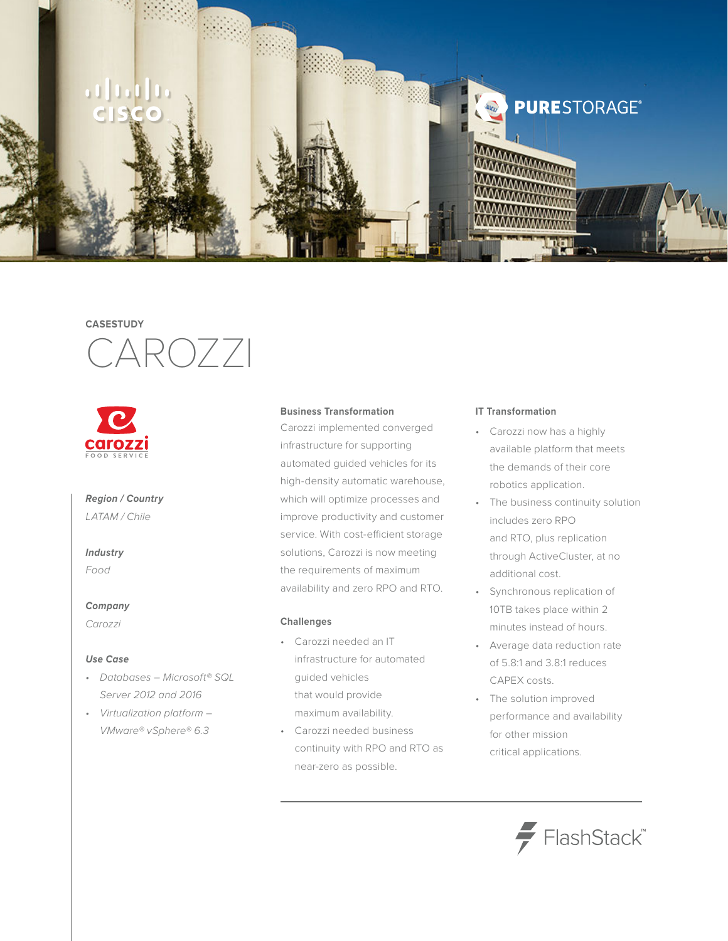

## **CASESTUDY**





## *Region / Country LATAM / Chile*

## *Industry*

*Food*

### *Company*

*Carozzi*

### *Use Case*

- • *Databases Microsoft® SQL Server 2012 and 2016*
- • *Virtualization platform VMware® vSphere® 6.3*

### **Business Transformation**

Carozzi implemented converged infrastructure for supporting automated guided vehicles for its high-density automatic warehouse, which will optimize processes and improve productivity and customer service. With cost-efficient storage solutions, Carozzi is now meeting the requirements of maximum availability and zero RPO and RTO.

### **Challenges**

- • Carozzi needed an IT infrastructure for automated guided vehicles that would provide maximum availability.
- Carozzi needed business continuity with RPO and RTO as near-zero as possible.

#### **IT Transformation**

- • Carozzi now has a highly available platform that meets the demands of their core robotics application.
- The business continuity solution includes zero RPO and RTO, plus replication through ActiveCluster, at no additional cost.
- • Synchronous replication of 10TB takes place within 2 minutes instead of hours.
- • Average data reduction rate of 5.8:1 and 3.8:1 reduces CAPEX costs.
- • The solution improved performance and availability for other mission critical applications.

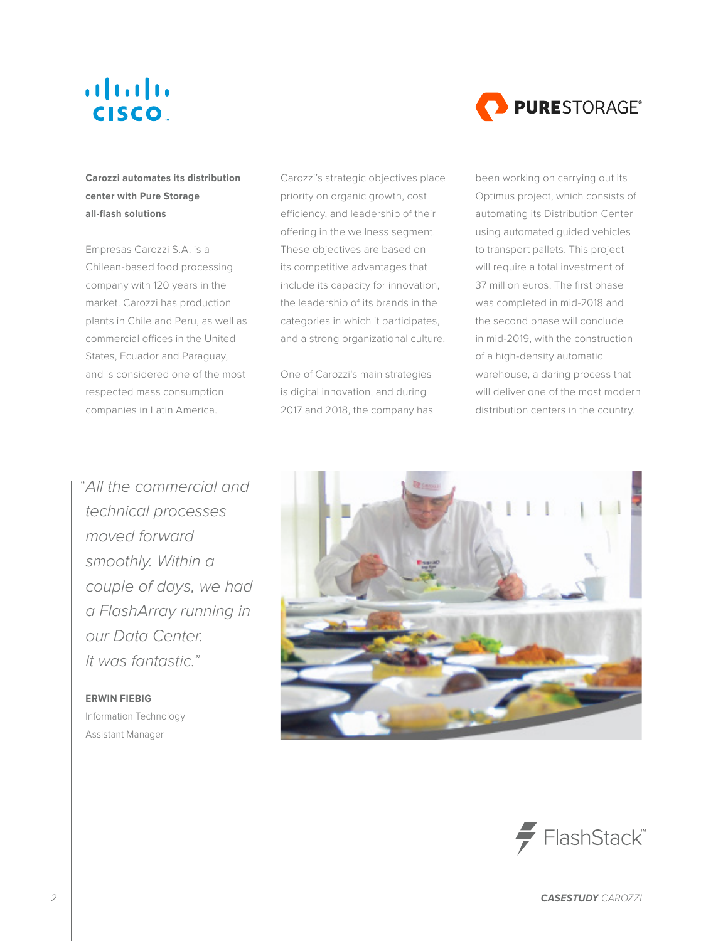## $\mathbf{d}$  and  $\mathbf{d}$ **CISCO**



**Carozzi automates its distribution center with Pure Storage all-flash solutions**

Empresas Carozzi S.A. is a Chilean-based food processing company with 120 years in the market. Carozzi has production plants in Chile and Peru, as well as commercial offices in the United States, Ecuador and Paraguay, and is considered one of the most respected mass consumption companies in Latin America.

*All the commercial and*  "*technical processes moved forward smoothly. Within a couple of days, we had a FlashArray running in our Data Center. It was fantastic."*

**ERWIN FIEBIG** Information Technology Assistant Manager

Carozzi's strategic objectives place priority on organic growth, cost efficiency, and leadership of their offering in the wellness segment. These objectives are based on its competitive advantages that include its capacity for innovation, the leadership of its brands in the categories in which it participates, and a strong organizational culture.

One of Carozzi's main strategies is digital innovation, and during 2017 and 2018, the company has been working on carrying out its Optimus project, which consists of automating its Distribution Center using automated guided vehicles to transport pallets. This project will require a total investment of 37 million euros. The first phase was completed in mid-2018 and the second phase will conclude in mid-2019, with the construction of a high-density automatic warehouse, a daring process that will deliver one of the most modern distribution centers in the country.



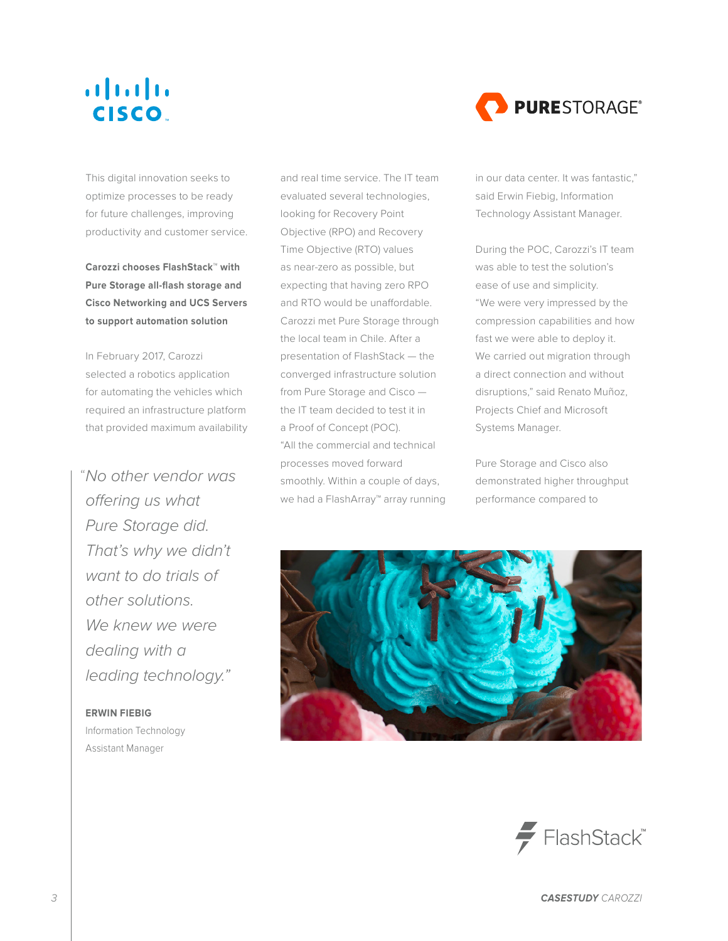## $\mathbf{d}$  and  $\mathbf{d}$ **CISCO**

This digital innovation seeks to optimize processes to be ready for future challenges, improving productivity and customer service.

**Carozzi chooses FlashStack™ with Pure Storage all-flash storage and Cisco Networking and UCS Servers to support automation solution**

In February 2017, Carozzi selected a robotics application for automating the vehicles which required an infrastructure platform that provided maximum availability

*No other vendor was*  "*offering us what Pure Storage did. That's why we didn't want to do trials of other solutions. We knew we were dealing with a leading technology."*

### **ERWIN FIEBIG**

Information Technology Assistant Manager

and real time service. The IT team evaluated several technologies, looking for Recovery Point Objective (RPO) and Recovery Time Objective (RTO) values as near-zero as possible, but expecting that having zero RPO and RTO would be unaffordable. Carozzi met Pure Storage through the local team in Chile. After a presentation of FlashStack — the converged infrastructure solution from Pure Storage and Cisco the IT team decided to test it in a Proof of Concept (POC). "All the commercial and technical processes moved forward smoothly. Within a couple of days, we had a FlashArray™ array running



in our data center. It was fantastic," said Erwin Fiebig, Information Technology Assistant Manager.

During the POC, Carozzi's IT team was able to test the solution's ease of use and simplicity. "We were very impressed by the compression capabilities and how fast we were able to deploy it. We carried out migration through a direct connection and without disruptions," said Renato Muñoz, Projects Chief and Microsoft Systems Manager.

Pure Storage and Cisco also demonstrated higher throughput performance compared to



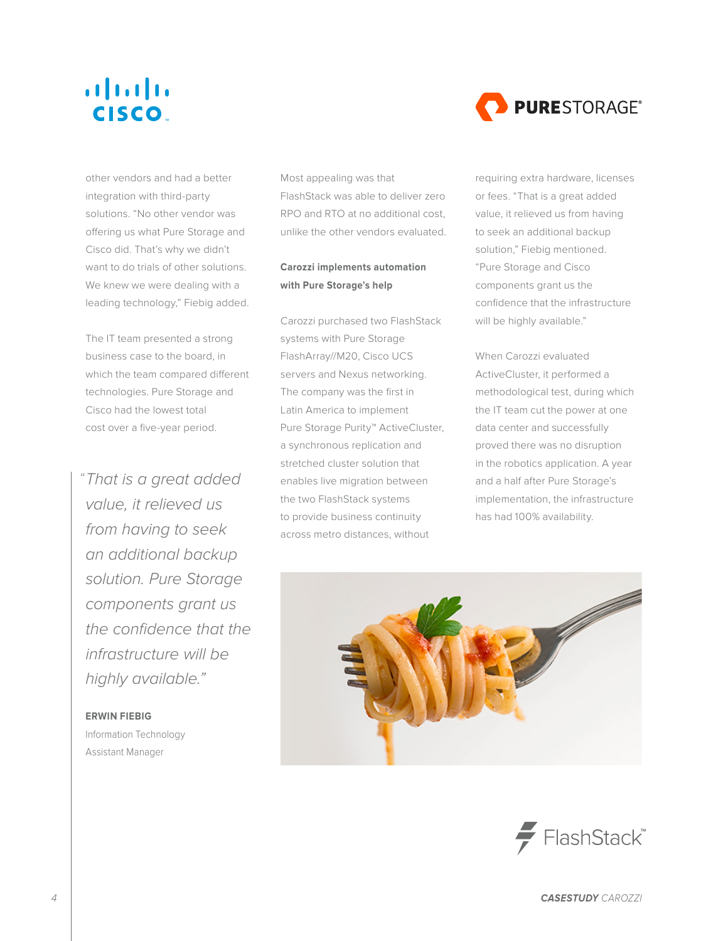## $\mathbf{d}$  and  $\mathbf{d}$ **CISCO**



other vendors and had a better integration with third-party solutions. "No other vendor was offering us what Pure Storage and Cisco did. That's why we didn't want to do trials of other solutions. We knew we were dealing with a leading technology," Fiebig added.

The IT team presented a strong business case to the board, in which the team compared different technologies. Pure Storage and Cisco had the lowest total cost over a five-year period.

*That is a great added*  "*value, it relieved us from having to seek an additional backup solution. Pure Storage components grant us the confidence that the infrastructure will be highly available."*

### **ERWIN FIEBIG**

Information Technology Assistant Manager

Most appealing was that FlashStack was able to deliver zero RPO and RTO at no additional cost, unlike the other vendors evaluated.

## **Carozzi implements automation with Pure Storage's help**

Carozzi purchased two FlashStack systems with Pure Storage FlashArray//M20, Cisco UCS servers and Nexus networking. The company was the first in Latin America to implement Pure Storage Purity™ ActiveCluster, a synchronous replication and stretched cluster solution that enables live migration between the two FlashStack systems to provide business continuity across metro distances, without

requiring extra hardware, licenses or fees. "That is a great added value, it relieved us from having to seek an additional backup solution," Fiebig mentioned. "Pure Storage and Cisco components grant us the confidence that the infrastructure will be highly available."

When Carozzi evaluated ActiveCluster, it performed a methodological test, during which the IT team cut the power at one data center and successfully proved there was no disruption in the robotics application. A year and a half after Pure Storage's implementation, the infrastructure has had 100% availability.